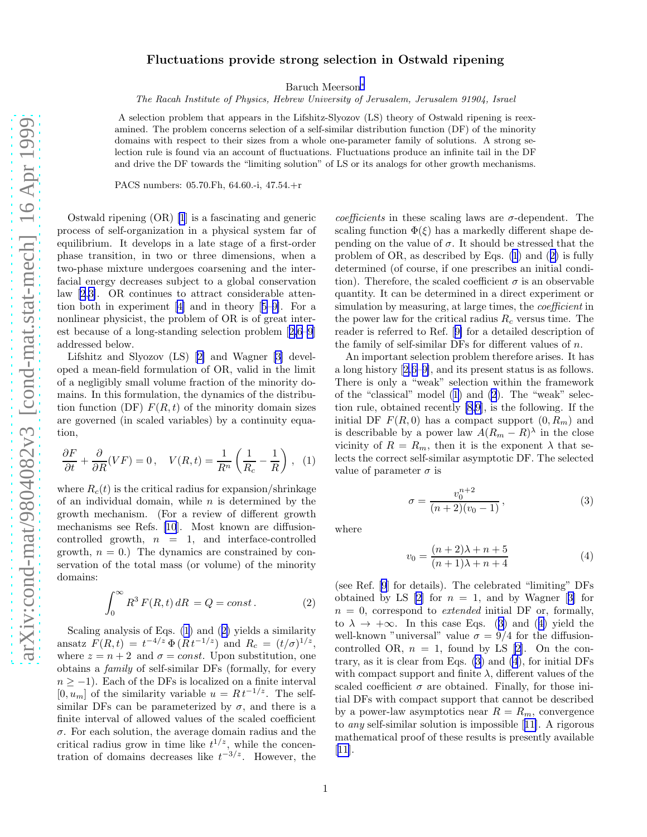## <span id="page-0-0"></span>Fluctuations provide strong selection in Ostwald ripening

Baruch Meerson[∗](#page-3-0)

The Racah Institute of Physics, Hebrew University of Jerusalem, Jerusalem 91904, Israel

A selection problem that appears in the Lifshitz-Slyozov (LS) theory of Ostwald ripening is reexamined. The problem concerns selection of a self-similar distribution function (DF) of the minority domains with respect to their sizes from a whole one-parameter family of solutions. A strong selection rule is found via an account of fluctuations. Fluctuations produce an infinite tail in the DF and drive the DF towards the "limiting solution" of LS or its analogs for other growth mechanisms.

PACS numbers: 05.70.Fh, 64.60.-i, 47.54.+r

Ostwald ripening (OR) [\[1](#page-3-0)] is a fascinating and generic process of self-organization in a physical system far of equilibrium. It develops in a late stage of a first-order phase transition, in two or three dimensions, when a two-phase mixture undergoes coarsening and the interfacial energy decreases subject to a global conservation law [\[2](#page-3-0),[3\]](#page-3-0). OR continues to attract considerable attention both in experiment[[4\]](#page-3-0) and in theory[[5–9\]](#page-3-0). For a nonlinear physicist, the problem of OR is of great interest because of a long-standing selection problem[[2,6–9](#page-3-0)] addressed below.

Lifshitz and Slyozov (LS)[[2\]](#page-3-0) and Wagner[[3](#page-3-0)] developed a mean-field formulation of OR, valid in the limit of a negligibly small volume fraction of the minority domains. In this formulation, the dynamics of the distribution function (DF)  $F(R, t)$  of the minority domain sizes are governed (in scaled variables) by a continuity equation,

$$
\frac{\partial F}{\partial t} + \frac{\partial}{\partial R}(VF) = 0, \quad V(R, t) = \frac{1}{R^n} \left( \frac{1}{R_c} - \frac{1}{R} \right), \tag{1}
$$

where  $R_c(t)$  is the critical radius for expansion/shrinkage of an individual domain, while  $n$  is determined by the growth mechanism. (For a review of different growth mechanisms see Refs. [\[10](#page-3-0)]. Most known are diffusioncontrolled growth,  $n = 1$ , and interface-controlled growth,  $n = 0$ .) The dynamics are constrained by conservation of the total mass (or volume) of the minority domains:

$$
\int_0^\infty R^3 F(R, t) dR = Q = const.
$$
 (2)

Scaling analysis of Eqs. (1) and (2) yields a similarity ansatz  $F(R, t) = t^{-4/z} \Phi(R t^{-1/z})$  and  $R_c = (t/\sigma)^{1/z}$ , where  $z = n + 2$  and  $\sigma = const.$  Upon substitution, one obtains a family of self-similar DFs (formally, for every  $n \ge -1$ ). Each of the DFs is localized on a finite interval  $[0, u_m]$  of the similarity variable  $u = Rt^{-1/z}$ . The selfsimilar DFs can be parameterized by  $\sigma$ , and there is a finite interval of allowed values of the scaled coefficient  $\sigma$ . For each solution, the average domain radius and the critical radius grow in time like  $t^{1/z}$ , while the concentration of domains decreases like  $t^{-3/z}$ . However, the

coefficients in these scaling laws are  $\sigma$ -dependent. The scaling function  $\Phi(\xi)$  has a markedly different shape depending on the value of  $\sigma$ . It should be stressed that the problem of OR, as described by Eqs. (1) and (2) is fully determined (of course, if one prescribes an initial condition). Therefore, the scaled coefficient  $\sigma$  is an observable quantity. It can be determined in a direct experiment or simulation by measuring, at large times, the *coefficient* in the power law for the critical radius  $R_c$  versus time. The reader is referred to Ref.[[9\]](#page-3-0) for a detailed description of the family of self-similar DFs for different values of n.

An important selection problem therefore arises. It has a long history[[2,6–9\]](#page-3-0), and its present status is as follows. There is only a "weak" selection within the framework of the "classical" model (1) and (2). The "weak" selection rule, obtained recently [\[8,9](#page-3-0)], is the following. If the initial DF  $F(R, 0)$  has a compact support  $(0, R_m)$  and is describable by a power law  $A(R_m - R)^{\lambda}$  in the close vicinity of  $R = R_m$ , then it is the exponent  $\lambda$  that selects the correct self-similar asymptotic DF. The selected value of parameter  $\sigma$  is

$$
\sigma = \frac{v_0^{n+2}}{(n+2)(v_0 - 1)},\tag{3}
$$

where

$$
v_0 = \frac{(n+2)\lambda + n + 5}{(n+1)\lambda + n + 4} \tag{4}
$$

(see Ref. [\[9](#page-3-0)] for details). The celebrated "limiting" DFs obtainedby LS  $[2]$  for  $n = 1$ , and by Wagner  $[3]$  $[3]$  for  $n = 0$ , correspond to *extended* initial DF or, formally, to  $\lambda \to +\infty$ . In this case Eqs. (3) and (4) yield the well-known "universal" value  $\sigma = 9/4$  for the diffusioncontrolled OR,  $n = 1$ , found by LS [\[2](#page-3-0)]. On the contrary, as it is clear from Eqs. (3) and (4), for initial DFs with compact support and finite  $\lambda$ , different values of the scaled coefficient  $\sigma$  are obtained. Finally, for those initial DFs with compact support that cannot be described by a power-law asymptotics near  $R = R_m$ , convergence to any self-similar solution is impossible[[11\]](#page-3-0). A rigorous mathematical proof of these results is presently available [[11\]](#page-3-0).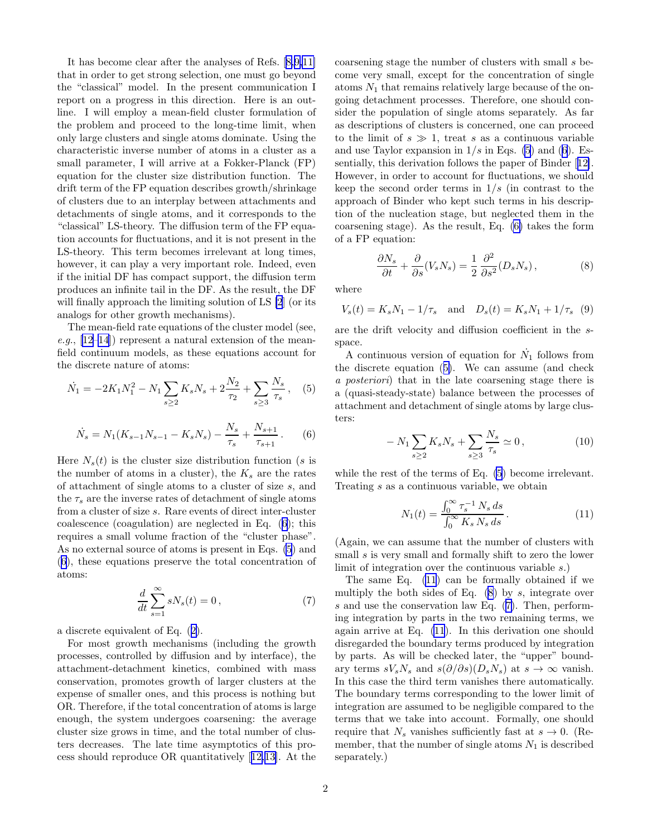<span id="page-1-0"></span>It has become clear after the analyses of Refs.[[8,9,11\]](#page-3-0) that in order to get strong selection, one must go beyond the "classical" model. In the present communication I report on a progress in this direction. Here is an outline. I will employ a mean-field cluster formulation of the problem and proceed to the long-time limit, when only large clusters and single atoms dominate. Using the characteristic inverse number of atoms in a cluster as a small parameter, I will arrive at a Fokker-Planck (FP) equation for the cluster size distribution function. The drift term of the FP equation describes growth/shrinkage of clusters due to an interplay between attachments and detachments of single atoms, and it corresponds to the "classical" LS-theory. The diffusion term of the FP equation accounts for fluctuations, and it is not present in the LS-theory. This term becomes irrelevant at long times, however, it can play a very important role. Indeed, even if the initial DF has compact support, the diffusion term produces an infinite tail in the DF. As the result, the DF will finally approach the limiting solution of LS [\[2](#page-3-0)] (or its analogs for other growth mechanisms).

The mean-field rate equations of the cluster model (see, e.g.,  $[12-14]$  represent a natural extension of the meanfield continuum models, as these equations account for the discrete nature of atoms:

$$
\dot{N}_1 = -2K_1 N_1^2 - N_1 \sum_{s \ge 2} K_s N_s + 2 \frac{N_2}{\tau_2} + \sum_{s \ge 3} \frac{N_s}{\tau_s}, \quad (5)
$$

$$
\dot{N}_s = N_1(K_{s-1}N_{s-1} - K_sN_s) - \frac{N_s}{\tau_s} + \frac{N_{s+1}}{\tau_{s+1}}.
$$
 (6)

Here  $N_s(t)$  is the cluster size distribution function (s is the number of atoms in a cluster), the  $K_s$  are the rates of attachment of single atoms to a cluster of size s, and the  $\tau_s$  are the inverse rates of detachment of single atoms from a cluster of size s. Rare events of direct inter-cluster coalescence (coagulation) are neglected in Eq. (6); this requires a small volume fraction of the "cluster phase". As no external source of atoms is present in Eqs. (5) and (6), these equations preserve the total concentration of atoms:

$$
\frac{d}{dt} \sum_{s=1}^{\infty} sN_s(t) = 0, \qquad (7)
$$

a discrete equivalent of Eq.([2\)](#page-0-0).

For most growth mechanisms (including the growth processes, controlled by diffusion and by interface), the attachment-detachment kinetics, combined with mass conservation, promotes growth of larger clusters at the expense of smaller ones, and this process is nothing but OR. Therefore, if the total concentration of atoms is large enough, the system undergoes coarsening: the average cluster size grows in time, and the total number of clusters decreases. The late time asymptotics of this process should reproduce OR quantitatively[[12,13\]](#page-3-0). At the coarsening stage the number of clusters with small s become very small, except for the concentration of single atoms  $N_1$  that remains relatively large because of the ongoing detachment processes. Therefore, one should consider the population of single atoms separately. As far as descriptions of clusters is concerned, one can proceed to the limit of  $s \gg 1$ , treat s as a continuous variable and use Taylor expansion in  $1/s$  in Eqs. (5) and (6). Essentially, this derivation follows the paper of Binder[[12\]](#page-3-0). However, in order to account for fluctuations, we should keep the second order terms in  $1/s$  (in contrast to the approach of Binder who kept such terms in his description of the nucleation stage, but neglected them in the coarsening stage). As the result, Eq. (6) takes the form of a FP equation:

$$
\frac{\partial N_s}{\partial t} + \frac{\partial}{\partial s} (V_s N_s) = \frac{1}{2} \frac{\partial^2}{\partial s^2} (D_s N_s), \tag{8}
$$

where

$$
V_s(t) = K_s N_1 - 1/\tau_s
$$
 and  $D_s(t) = K_s N_1 + 1/\tau_s$  (9)

are the drift velocity and diffusion coefficient in the sspace.

A continuous version of equation for  $\dot{N}_1$  follows from the discrete equation (5). We can assume (and check a posteriori) that in the late coarsening stage there is a (quasi-steady-state) balance between the processes of attachment and detachment of single atoms by large clusters:

$$
- N_1 \sum_{s \ge 2} K_s N_s + \sum_{s \ge 3} \frac{N_s}{\tau_s} \simeq 0, \qquad (10)
$$

while the rest of the terms of Eq. (5) become irrelevant. Treating s as a continuous variable, we obtain

$$
N_1(t) = \frac{\int_0^\infty \tau_s^{-1} N_s ds}{\int_0^\infty K_s N_s ds}.
$$
\n(11)

(Again, we can assume that the number of clusters with small s is very small and formally shift to zero the lower limit of integration over the continuous variable s.)

The same Eq. (11) can be formally obtained if we multiply the both sides of Eq.  $(8)$  by s, integrate over s and use the conservation law Eq. (7). Then, performing integration by parts in the two remaining terms, we again arrive at Eq. (11). In this derivation one should disregarded the boundary terms produced by integration by parts. As will be checked later, the "upper" boundary terms  $sV_sN_s$  and  $s(\partial/\partial s)(D_sN_s)$  at  $s \to \infty$  vanish. In this case the third term vanishes there automatically. The boundary terms corresponding to the lower limit of integration are assumed to be negligible compared to the terms that we take into account. Formally, one should require that  $N_s$  vanishes sufficiently fast at  $s \to 0$ . (Remember, that the number of single atoms  $N_1$  is described separately.)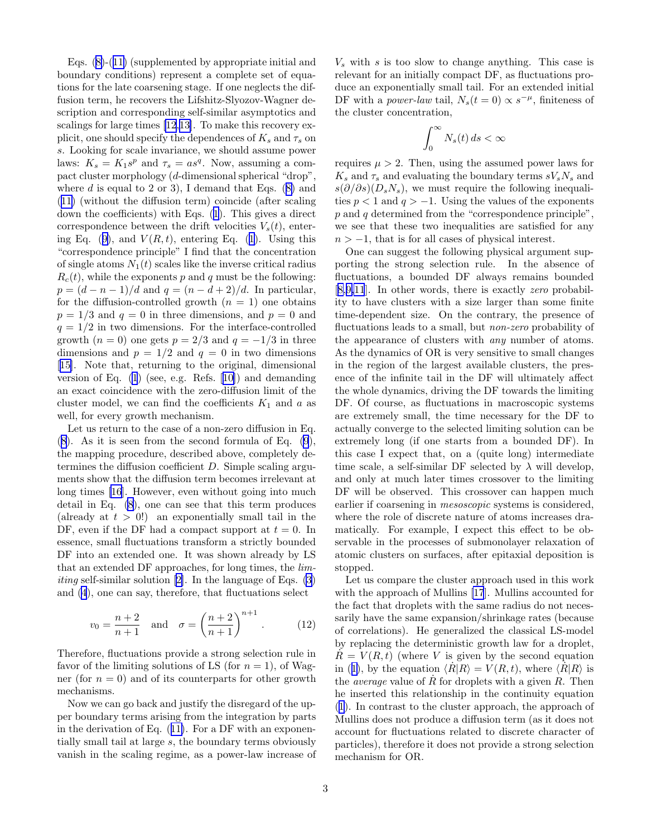Eqs.([8\)](#page-1-0)-([11\)](#page-1-0) (supplemented by appropriate initial and boundary conditions) represent a complete set of equations for the late coarsening stage. If one neglects the diffusion term, he recovers the Lifshitz-Slyozov-Wagner description and corresponding self-similar asymptotics and scalings for large times[[12](#page-3-0),[13\]](#page-3-0). To make this recovery explicit, one should specify the dependences of  $K_s$  and  $\tau_s$  on s. Looking for scale invariance, we should assume power laws:  $K_s = K_1 s^p$  and  $\tau_s = as^q$ . Now, assuming a compact cluster morphology (d-dimensional spherical "drop", whered is equal to 2 or 3), I demand that Eqs.  $(8)$  $(8)$  and ([11\)](#page-1-0) (without the diffusion term) coincide (after scaling down the coefficients) with Eqs. [\(1](#page-0-0)). This gives a direct correspondence between the drift velocities  $V_s(t)$ , enter-ingEq. ([9\)](#page-1-0), and  $V(R, t)$ , entering Eq. ([1\)](#page-0-0). Using this "correspondence principle" I find that the concentration of single atoms  $N_1(t)$  scales like the inverse critical radius  $R_c(t)$ , while the exponents p and q must be the following:  $p = (d - n - 1)/d$  and  $q = (n - d + 2)/d$ . In particular, for the diffusion-controlled growth  $(n = 1)$  one obtains  $p = 1/3$  and  $q = 0$  in three dimensions, and  $p = 0$  and  $q = 1/2$  in two dimensions. For the interface-controlled growth  $(n = 0)$  one gets  $p = 2/3$  and  $q = -1/3$  in three dimensions and  $p = 1/2$  and  $q = 0$  in two dimensions [[15\]](#page-3-0). Note that, returning to the original, dimensional version of Eq. [\(1](#page-0-0)) (see, e.g. Refs.[[10](#page-3-0)]) and demanding an exact coincidence with the zero-diffusion limit of the cluster model, we can find the coefficients  $K_1$  and a as well, for every growth mechanism.

Let us return to the case of a non-zero diffusion in Eq. ([8\)](#page-1-0). As it is seen from the second formula of Eq. [\(9](#page-1-0)), the mapping procedure, described above, completely determines the diffusion coefficient  $D$ . Simple scaling arguments show that the diffusion term becomes irrelevant at long times [\[16](#page-3-0)]. However, even without going into much detail in Eq. [\(8](#page-1-0)), one can see that this term produces (already at  $t > 0!$ ) an exponentially small tail in the DF, even if the DF had a compact support at  $t = 0$ . In essence, small fluctuations transform a strictly bounded DF into an extended one. It was shown already by LS that an extended DF approaches, for long times, the lim*iting*self-similar solution [[2\]](#page-3-0). In the language of Eqs.  $(3)$ and [\(4](#page-0-0)), one can say, therefore, that fluctuations select

$$
v_0 = \frac{n+2}{n+1}
$$
 and  $\sigma = \left(\frac{n+2}{n+1}\right)^{n+1}$ . (12)

Therefore, fluctuations provide a strong selection rule in favor of the limiting solutions of LS (for  $n = 1$ ), of Wagner (for  $n = 0$ ) and of its counterparts for other growth mechanisms.

Now we can go back and justify the disregard of the upper boundary terms arising from the integration by parts in the derivation of Eq.([11\)](#page-1-0). For a DF with an exponentially small tail at large s, the boundary terms obviously vanish in the scaling regime, as a power-law increase of

 $V<sub>s</sub>$  with s is too slow to change anything. This case is relevant for an initially compact DF, as fluctuations produce an exponentially small tail. For an extended initial DF with a *power-law* tail,  $N_s(t=0) \propto s^{-\mu}$ , finiteness of the cluster concentration,

$$
\int_0^\infty N_s(t)\,ds<\infty
$$

requires  $\mu > 2$ . Then, using the assumed power laws for  $K_s$  and  $\tau_s$  and evaluating the boundary terms  $sV_sN_s$  and  $s(\partial/\partial s)(D_sN_s)$ , we must require the following inequalities  $p < 1$  and  $q > -1$ . Using the values of the exponents  $p$  and  $q$  determined from the "correspondence principle". we see that these two inequalities are satisfied for any  $n > -1$ , that is for all cases of physical interest.

One can suggest the following physical argument supporting the strong selection rule. In the absence of fluctuations, a bounded DF always remains bounded [[8,9,11](#page-3-0)]. In other words, there is exactly zero probability to have clusters with a size larger than some finite time-dependent size. On the contrary, the presence of fluctuations leads to a small, but non-zero probability of the appearance of clusters with any number of atoms. As the dynamics of OR is very sensitive to small changes in the region of the largest available clusters, the presence of the infinite tail in the DF will ultimately affect the whole dynamics, driving the DF towards the limiting DF. Of course, as fluctuations in macroscopic systems are extremely small, the time necessary for the DF to actually converge to the selected limiting solution can be extremely long (if one starts from a bounded DF). In this case I expect that, on a (quite long) intermediate time scale, a self-similar DF selected by  $\lambda$  will develop, and only at much later times crossover to the limiting DF will be observed. This crossover can happen much earlier if coarsening in mesoscopic systems is considered, where the role of discrete nature of atoms increases dramatically. For example, I expect this effect to be observable in the processes of submonolayer relaxation of atomic clusters on surfaces, after epitaxial deposition is stopped.

Let us compare the cluster approach used in this work with the approach of Mullins [\[17](#page-3-0)]. Mullins accounted for the fact that droplets with the same radius do not necessarily have the same expansion/shrinkage rates (because of correlations). He generalized the classical LS-model by replacing the deterministic growth law for a droplet,  $R = V(R, t)$  (where V is given by the second equation in([1\)](#page-0-0), by the equation  $\langle R|R\rangle = V(R, t)$ , where  $\langle \hat{R}|R\rangle$  is the *average* value of  $\dot{R}$  for droplets with a given  $R$ . Then he inserted this relationship in the continuity equation ([1\)](#page-0-0). In contrast to the cluster approach, the approach of Mullins does not produce a diffusion term (as it does not account for fluctuations related to discrete character of particles), therefore it does not provide a strong selection mechanism for OR.